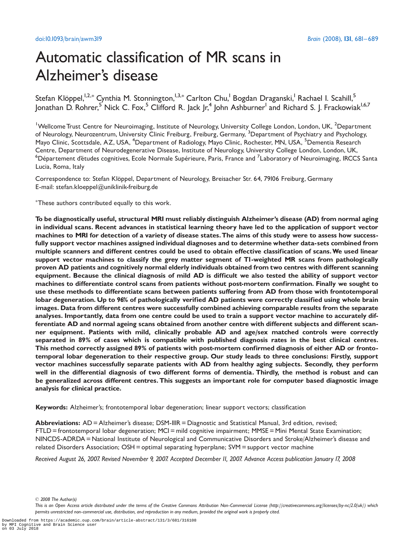# Automatic classification of MR scans in Alzheimer's disease

Stefan Klöppel,<sup>1,2,\*</sup> Cynthia M. Stonnington,<sup>1,3,\*</sup> Carlton Chu,<sup>1</sup> Bogdan Draganski,<sup>1</sup> Rachael I. Scahill,<sup>5</sup> Jonathan D. Rohrer,<sup>5</sup> Nick C. Fox,<sup>5</sup> Clifford R. Jack Jr,<sup>4</sup> John Ashburner<sup>1</sup> and Richard S. J. Frackowiak<sup>1,6,7</sup>

<sup>1</sup>Wellcome Trust Centre for Neuroimaging, Institute of Neurology, University College London, London, UK, <sup>2</sup>Department of Neurology, Neurozentrum, University Clinic Freiburg, Freiburg, Germany, <sup>3</sup>Department of Psychiatry and Psychology, Mayo Clinic, Scottsdale, AZ, USA, <sup>4</sup>Department of Radiology, Mayo Clinic, Rochester, MN, USA, <sup>5</sup>Dementia Research Centre, Department of Neurodegenerative Disease, Institute of Neurology, University College London, London, UK, <sup>6</sup>Département d'études cognitives, Ecole Normale Supérieure, Paris, France and <sup>7</sup>Laboratory of Neuroimaging, IRCCS Santa Lucia, Roma, Italy

Correspondence to: Stefan Klöppel, Department of Neurology, Breisacher Str. 64, 79106 Freiburg, Germany E-mail: stefan.kloeppel@uniklinik-freiburg.de

These authors contributed equally to this work.

To be diagnostically useful, structural MRI must reliably distinguish Alzheimer's disease (AD) from normal aging in individual scans. Recent advances in statistical learning theory have led to the application of support vector machines to MRI for detection of a variety of disease states.The aims of this study were to assess how successfully support vector machines assigned individual diagnoses and to determine whether data-sets combined from multiple scanners and different centres could be used to obtain effective classification of scans.We used linear support vector machines to classify the grey matter segment of T1-weighted MR scans from pathologically proven AD patients and cognitively normal elderly individuals obtained from two centres with different scanning equipment. Because the clinical diagnosis of mild AD is difficult we also tested the ability of support vector machines to differentiate control scans from patients without post-mortem confirmation. Finally we sought to use these methods to differentiate scans between patients suffering from AD from those with frontotemporal lobar degeneration.Up to 96% of pathologically verified AD patients were correctly classified using whole brain images. Data from different centres were successfully combined achieving comparable results from the separate analyses. Importantly, data from one centre could be used to train a support vector machine to accurately differentiate AD and normal ageing scans obtained from another centre with different subjects and different scanner equipment. Patients with mild, clinically probable AD and age/sex matched controls were correctly separated in 89% of cases which is compatible with published diagnosis rates in the best clinical centres. This method correctly assigned 89% of patients with post-mortem confirmed diagnosis of either AD or frontotemporal lobar degeneration to their respective group. Our study leads to three conclusions: Firstly, support vector machines successfully separate patients with AD from healthy aging subjects. Secondly, they perform well in the differential diagnosis of two different forms of dementia. Thirdly, the method is robust and can be generalized across different centres. This suggests an important role for computer based diagnostic image analysis for clinical practice.

Keywords: Alzheimer's; frontotemporal lobar degeneration; linear support vectors; classification

Abbreviations: AD = Alzheimer's disease; DSM-IIIR = Diagnostic and Statistical Manual, 3rd edition, revised; FTLD = frontotemporal lobar degeneration; MCI = mild cognitive impairment; MMSE = Mini Mental State Examination; NINCDS-ADRDA = National Institute of Neurological and Communicative Disorders and Stroke/Alzheimer's disease and related Disorders Association; OSH = optimal separating hyperplane; SVM = support vector machine

Received August 26, 2007. Revised November 9, 2007. Accepted December 11, 2007. Advance Access publication January 17, 2008

2008 The Author(s)

This is an Open Access article distributed under the terms of the Creative Commons Attribution Non-Commercial License [\(http://creativecommons.org/licenses/by-nc/2.0/uk/\)](http://creativecommons.org/licenses/by-nc/2.0/uk/) which permits unrestricted non-commercial use, distribution, and reproduction in any medium, provided the original work is properly cited.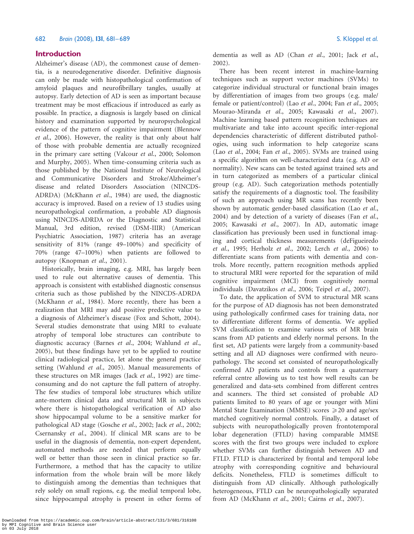# Introduction

Alzheimer's disease (AD), the commonest cause of dementia, is a neurodegenerative disorder. Definitive diagnosis can only be made with histopathological confirmation of amyloid plaques and neurofibrillary tangles, usually at autopsy. Early detection of AD is seen as important because treatment may be most efficacious if introduced as early as possible. In practice, a diagnosis is largely based on clinical history and examination supported by neuropsychological evidence of the pattern of cognitive impairment (Blennow et al., 2006). However, the reality is that only about half of those with probable dementia are actually recognized in the primary care setting (Valcour et al., 2000; Solomon and Murphy, 2005). When time-consuming criteria such as those published by the National Institute of Neurological and Communicative Disorders and Stroke/Alzheimer's disease and related Disorders Association (NINCDS-ADRDA) (McKhann et al., 1984) are used, the diagnostic accuracy is improved. Based on a review of 13 studies using neuropathological confirmation, a probable AD diagnosis using NINCDS-ADRDA or the Diagnostic and Statistical Manual, 3rd edition, revised (DSM-IIIR) (American Psychiatric Association, 1987) criteria has an average sensitivity of 81% (range 49–100%) and specificity of 70% (range 47–100%) when patients are followed to autopsy (Knopman et al., 2001).

Historically, brain imaging, e.g. MRI, has largely been used to rule out alternative causes of dementia. This approach is consistent with established diagnostic consensus criteria such as those published by the NINCDS-ADRDA (McKhann et al., 1984). More recently, there has been a realization that MRI may add positive predictive value to a diagnosis of Alzheimer's disease (Fox and Schott, 2004). Several studies demonstrate that using MRI to evaluate atrophy of temporal lobe structures can contribute to diagnostic accuracy (Barnes et al., 2004; Wahlund et al., 2005), but these findings have yet to be applied to routine clinical radiological practice, let alone the general practice setting (Wahlund et al., 2005). Manual measurements of these structures on MR images (Jack et al., 1992) are timeconsuming and do not capture the full pattern of atrophy. The few studies of temporal lobe structures which utilize ante-mortem clinical data and structural MR in subjects where there is histopathological verification of AD also show hippocampal volume to be a sensitive marker for pathological AD stage (Gosche et al., 2002; Jack et al., 2002; Csernansky et al., 2004). If clinical MR scans are to be useful in the diagnosis of dementia, non-expert dependent, automated methods are needed that perform equally well or better than those seen in clinical practice so far. Furthermore, a method that has the capacity to utilize information from the whole brain will be more likely to distinguish among the dementias than techniques that rely solely on small regions, e.g. the medial temporal lobe, since hippocampal atrophy is present in other forms of

dementia as well as AD (Chan et al., 2001; Jack et al., 2002).

There has been recent interest in machine-learning techniques such as support vector machines (SVMs) to categorize individual structural or functional brain images by differentiation of images from two groups (e.g. male/ female or patient/control) (Lao et al., 2004; Fan et al., 2005; Mourao-Miranda et al., 2005; Kawasaki et al., 2007). Machine learning based pattern recognition techniques are multivariate and take into account specific inter-regional dependencies characteristic of different distributed pathologies, using such information to help categorize scans (Lao et al., 2004; Fan et al., 2005). SVMs are trained using a specific algorithm on well-characterized data (e.g. AD or normality). New scans can be tested against trained sets and in turn categorized as members of a particular clinical group (e.g. AD). Such categorization methods potentially satisfy the requirements of a diagnostic tool. The feasibility of such an approach using MR scans has recently been shown by automatic gender-based classification (Lao et al., 2004) and by detection of a variety of diseases (Fan et al., 2005; Kawasaki et al., 2007). In AD, automatic image classification has previously been used in functional imaging and cortical thickness measurements (deFigueiredo et al., 1995; Herholz et al., 2002; Lerch et al., 2006) to differentiate scans from patients with dementia and controls. More recently, pattern recognition methods applied to structural MRI were reported for the separation of mild cognitive impairment (MCI) from cognitively normal individuals (Davatzikos et al., 2006; Teipel et al., 2007).

To date, the application of SVM to structural MR scans for the purpose of AD diagnosis has not been demonstrated using pathologically confirmed cases for training data, nor to differentiate different forms of dementia. We applied SVM classification to examine various sets of MR brain scans from AD patients and elderly normal persons. In the first set, AD patients were largely from a community-based setting and all AD diagnoses were confirmed with neuropathology. The second set consisted of neuropathologically confirmed AD patients and controls from a quaternary referral centre allowing us to test how well results can be generalized and data-sets combined from different centres and scanners. The third set consisted of probable AD patients limited to 80 years of age or younger with Mini Mental State Examination (MMSE) scores  $\geq 20$  and age/sex matched cognitively normal controls. Finally, a dataset of subjects with neuropathologically proven frontotemporal lobar degeneration (FTLD) having comparable MMSE scores with the first two groups were included to explore whether SVMs can further distinguish between AD and FTLD. FTLD is characterized by frontal and temporal lobe atrophy with corresponding cognitive and behavioural deficits. Nonetheless, FTLD is sometimes difficult to distinguish from AD clinically. Although pathologically heterogeneous, FTLD can be neuropathologically separated from AD (McKhann et al., 2001; Cairns et al., 2007).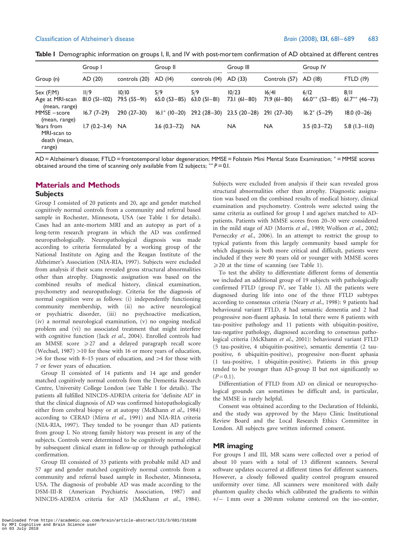#### Classification of Alzheimer's disease Brain (2008), 131, 681–689 683

|  |  |  | Table I Demographic information on groups I, II, and IV with post-mortem confirmation of AD obtained at different centres |  |
|--|--|--|---------------------------------------------------------------------------------------------------------------------------|--|
|--|--|--|---------------------------------------------------------------------------------------------------------------------------|--|

|                                                     | Group I                |                       | Group II             |                         | Group III              |                        | Group IV                    |                             |
|-----------------------------------------------------|------------------------|-----------------------|----------------------|-------------------------|------------------------|------------------------|-----------------------------|-----------------------------|
| Group (n)                                           | AD(20)                 | controls (20)         | AD (14)              | controls (14)           | AD (33)                | Controls (57)          | AD (18)                     | <b>FTLD (19)</b>            |
| Sex (F/M)<br>Age at MRI-scan                        | 11/9<br>$8I.0(5I-102)$ | 10/10<br>79.5 (55-91) | 5/9<br>$65.0(53-85)$ | 5/9<br>$63.0$ $(5I-8I)$ | 10/23<br>$73.1(6I-80)$ | 16/41<br>$71.9(61-80)$ | 6/12<br>$66.0^{**}$ (53-85) | 8/11<br>$61.7***$ $(46-73)$ |
| (mean, range)<br>$MMSE - score$<br>(mean, range)    | $16.7(7-29)$           | 29.0 (27-30)          | $16.1^*$ (10-20)     | $29.2(28-30)$           | $23.5(20-28)$          | 29.1 (27-30)           | $16.2^*$ (5-29)             | $18.0 (0 - 26)$             |
| Years from<br>MRI-scan to<br>death (mean,<br>range) | $1.7(0.2 - 3.4)$       | <b>NA</b>             | $3.6(0.3 - 7.2)$     | <b>NA</b>               | <b>NA</b>              | <b>NA</b>              | $3.5(0.3 - 7.2)$            | $5.8$ (1.3-11.0)            |

AD = Alzheimer's disease; FTLD = frontotemporal lobar degeneration; MMSE = Folstein Mini Mental State Examination; \* = MMSE scores obtained around the time of scanning only available from  $12$  subjects;  $^{**}P = 0.1$ .

# Materials and Methods

#### **Subjects**

Group I consisted of 20 patients and 20, age and gender matched cognitively normal controls from a community and referral based sample in Rochester, Minnesota, USA (see Table 1 for details). Cases had an ante-mortem MRI and an autopsy as part of a long-term research program in which the AD was confirmed neuropathologically. Neuropathological diagnosis was made according to criteria formulated by a working group of the National Institute on Aging and the Reagan Institute of the Alzheimer's Association (NIA-RIA, 1997). Subjects were excluded from analysis if their scans revealed gross structural abnormalities other than atrophy. Diagnostic assignation was based on the combined results of medical history, clinical examination, psychometry and neuropathology. Criteria for the diagnosis of normal cognition were as follows: (i) independently functioning community membership, with (ii) no active neurological or psychiatric disorder, (iii) no psychoactive medication, (iv) a normal neurological examination, (v) no ongoing medical problem and (vi) no associated treatment that might interfere with cognitive function (Jack et al., 2004). Enrolled controls had an MMSE score  $\geq 27$  and a delayed paragraph recall score (Wechsel,  $1987$ ) >10 for those with 16 or more years of education,  $>6$  for those with 8–15 years of education, and  $>4$  for those with 7 or fewer years of education.

Group II consisted of 14 patients and 14 age and gender matched cognitively normal controls from the Dementia Research Centre, University College London (see Table 1 for details). The patients all fulfilled NINCDS-ADRDA criteria for 'definite AD' in that the clinical diagnosis of AD was confirmed histopathologically either from cerebral biopsy or at autopsy (McKhann et al., 1984) according to CERAD (Mirra et al., 1991) and NIA-RIA criteria (NIA-RIA, 1997). They tended to be younger than AD patients from group I. No strong family history was present in any of the subjects. Controls were determined to be cognitively normal either by subsequent clinical exam in follow-up or through pathological confirmation.

Group III consisted of 33 patients with probable mild AD and 57 age and gender matched cognitively normal controls from a community and referral based sample in Rochester, Minnesota, USA. The diagnosis of probable AD was made according to the DSM-III-R (American Psychiatric Association, 1987) and NINCDS-ADRDA criteria for AD (McKhann et al., 1984). Subjects were excluded from analysis if their scan revealed gross structural abnormalities other than atrophy. Diagnostic assignation was based on the combined results of medical history, clinical examination and psychometry. Controls were selected using the same criteria as outlined for group I and age/sex matched to ADpatients. Patients with MMSE scores from 20–30 were considered in the mild stage of AD (Morris et al., 1989; Wolfson et al., 2002; Perneczky et al., 2006). In an attempt to restrict the group to typical patients from this largely community based sample for which diagnosis is both more critical and difficult, patients were included if they were 80 years old or younger with MMSE scores  $\geq$  20 at the time of scanning (see Table 1).

To test the ability to differentiate different forms of dementia we included an additional group of 19 subjects with pathologically confirmed FTLD (group IV, see Table 1). All the patients were diagnosed during life into one of the three FTLD subtypes according to consensus criteria (Neary et al., 1998): 9 patients had behavioural variant FTLD, 8 had semantic dementia and 2 had progressive non-fluent aphasia. In total there were 8 patients with tau-positive pathology and 11 patients with ubiquitin-positive, tau-negative pathology, diagnosed according to consensus pathological criteria (McKhann et al., 2001): behavioural variant FTLD (5 tau-positive, 4 ubiquitin-positive), semantic dementia (2 taupositive, 6 ubiquitin-positive), progressive non-fluent aphasia (1 tau-positive, 1 ubiquitin-positive). Patients in this group tended to be younger than AD-group II but not significantly so  $(P = 0.1)$ .

Differentiation of FTLD from AD on clinical or neuropsychological grounds can sometimes be difficult and, in particular, the MMSE is rarely helpful.

Consent was obtained according to the Declaration of Helsinki, and the study was approved by the Mayo Clinic Institutional Review Board and the Local Research Ethics Committee in London. All subjects gave written informed consent.

## MR imaging

For groups I and III, MR scans were collected over a period of about 10 years with a total of 13 different scanners. Several software updates occurred at different times for different scanners. However, a closely followed quality control program ensured uniformity over time. All scanners were monitored with daily phantom quality checks which calibrated the gradients to within +/- 1 mm over a 200 mm volume centered on the iso-center,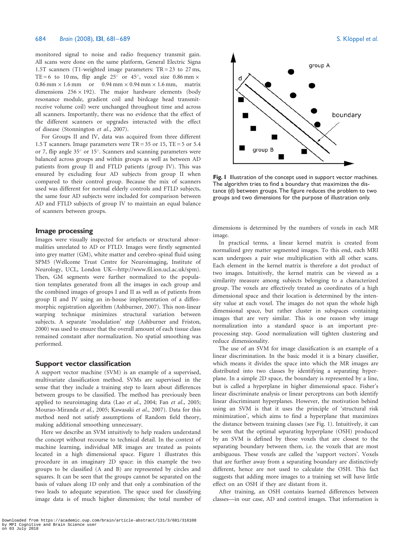monitored signal to noise and radio frequency transmit gain. All scans were done on the same platform, General Electric Signa 1.5T scanners (T1-weighted image parameters:  $TR = 23$  to 27 ms, TE = 6 to 10 ms, flip angle 25° or 45°, voxel size 0.86 mm  $\times$  $0.86$  mm  $\times$  1.6 mm or  $0.94$  mm  $\times$  0.94 mm  $\times$  1.6 mm, matrix dimensions  $256 \times 192$ ). The major hardware elements (body resonance module, gradient coil and birdcage head transmitreceive volume coil) were unchanged throughout time and across all scanners. Importantly, there was no evidence that the effect of the different scanners or upgrades interacted with the effect of disease (Stonnington et al., 2007).

For Groups II and IV, data was acquired from three different 1.5 T scanners. Image parameters were TR = 35 or 15, TE = 5 or 5.4 or 7, flip angle 35° or 15°. Scanners and scanning parameters were balanced across groups and within groups as well as between AD patients from group II and FTLD patients (group IV). This was ensured by excluding four AD subjects from group II when compared to their control group. Because the mix of scanners used was different for normal elderly controls and FTLD subjects, the same four AD subjects were included for comparison between AD and FTLD subjects of group IV to maintain an equal balance of scanners between groups.

### Image processing

Images were visually inspected for artefacts or structural abnormalities unrelated to AD or FTLD. Images were firstly segmented into grey matter (GM), white matter and cerebro-spinal fluid using SPM5 (Wellcome Trust Centre for Neuroimaging, Institute of Neurology, UCL, London UK—<http://www.fil.ion.ucl.ac.uk/spm>). Then, GM segments were further normalized to the population templates generated from all the images in each group and the combined images of groups I and II as well as of patients from group II and IV using an in-house implementation of a diffeomorphic registration algorithm (Ashburner, 2007). This non-linear warping technique minimizes structural variation between subjects. A separate 'modulation' step (Ashburner and Friston, 2000) was used to ensure that the overall amount of each tissue class remained constant after normalization. No spatial smoothing was performed.

#### Support vector classification

A support vector machine (SVM) is an example of a supervised, multivariate classification method. SVMs are supervised in the sense that they include a training step to learn about differences between groups to be classified. The method has previously been applied to neuroimaging data (Lao et al., 2004; Fan et al., 2005; Mourao-Miranda et al., 2005; Kawasaki et al., 2007). Data for this method need not satisfy assumptions of Random field theory, making additional smoothing unnecessary.

Here we describe an SVM intuitively to help readers understand the concept without recourse to technical detail. In the context of machine learning, individual MR images are treated as points located in a high dimensional space. Figure 1 illustrates this procedure in an imaginary 2D space: in this example the two groups to be classified (A and B) are represented by circles and squares. It can be seen that the groups cannot be separated on the basis of values along 1D only and that only a combination of the two leads to adequate separation. The space used for classifying image data is of much higher dimension; the total number of



Fig. 1 Illustration of the concept used in support vector machines. The algorithm tries to find a boundary that maximizes the distance (d) between groups. The figure reduces the problem to two groups and two dimensions for the purpose of illustration only.

dimensions is determined by the numbers of voxels in each MR image.

In practical terms, a linear kernel matrix is created from normalized grey matter segmented images. To this end, each MRI scan undergoes a pair wise multiplication with all other scans. Each element in the kernel matrix is therefore a dot product of two images. Intuitively, the kernel matrix can be viewed as a similarity measure among subjects belonging to a characterized group. The voxels are effectively treated as coordinates of a high dimensional space and their location is determined by the intensity value at each voxel. The images do not span the whole high dimensional space, but rather cluster in subspaces containing images that are very similar. This is one reason why image normalization into a standard space is an important preprocessing step. Good normalization will tighten clustering and reduce dimensionality.

The use of an SVM for image classification is an example of a linear discrimination. In the basic model it is a binary classifier, which means it divides the space into which the MR images are distributed into two classes by identifying a separating hyperplane. In a simple 2D space, the boundary is represented by a line, but is called a hyperplane in higher dimensional space. Fisher's linear discriminate analysis or linear perceptrons can both identify linear discriminant hyperplanes. However, the motivation behind using an SVM is that it uses the principle of 'structural risk minimization', which aims to find a hyperplane that maximizes the distance between training classes (see Fig. 1). Intuitively, it can be seen that the optimal separating hyperplane (OSH) produced by an SVM is defined by those voxels that are closest to the separating boundary between them, i.e. the voxels that are most ambiguous. These voxels are called the 'support vectors'. Voxels that are further away from a separating boundary are distinctively different, hence are not used to calculate the OSH. This fact suggests that adding more images to a training set will have little effect on an OSH if they are distant from it.

After training, an OSH contains learned differences between classes—in our case, AD and control images. That information is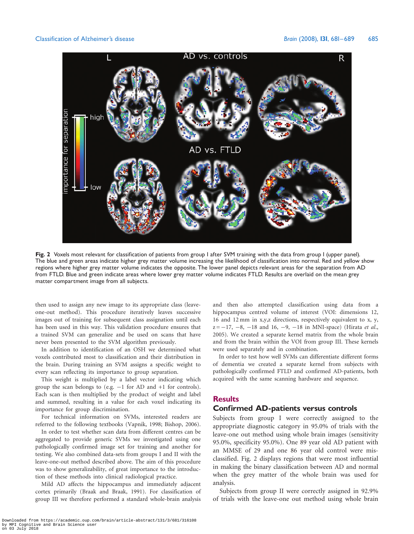#### Classification of Alzheimer's disease Brain (2008), 131, 681–689 685



Fig. 2 Voxels most relevant for classification of patients from group I after SVM training with the data from group I (upper panel). The blue and green areas indicate higher grey matter volume increasing the likelihood of classification into normal. Red and yellow show regions where higher grey matter volume indicates the opposite. The lower panel depicts relevant areas for the separation from AD from FTLD. Blue and green indicate areas where lower grey matter volume indicates FTLD. Results are overlaid on the mean grey matter compartment image from all subjects.

then used to assign any new image to its appropriate class (leaveone-out method). This procedure iteratively leaves successive images out of training for subsequent class assignation until each has been used in this way. This validation procedure ensures that a trained SVM can generalize and be used on scans that have never been presented to the SVM algorithm previously.

In addition to identification of an OSH we determined what voxels contributed most to classification and their distribution in the brain. During training an SVM assigns a specific weight to every scan reflecting its importance to group separation.

This weight is multiplied by a label vector indicating which group the scan belongs to (e.g. -1 for AD and +1 for controls). Each scan is then multiplied by the product of weight and label and summed, resulting in a value for each voxel indicating its importance for group discrimination.

For technical information on SVMs, interested readers are referred to the following textbooks (Vapnik, 1998; Bishop, 2006).

In order to test whether scan data from different centres can be aggregated to provide generic SVMs we investigated using one pathologically confirmed image set for training and another for testing. We also combined data-sets from groups I and II with the leave-one-out method described above. The aim of this procedure was to show generalizability, of great importance to the introduction of these methods into clinical radiological practice.

Mild AD affects the hippocampus and immediately adjacent cortex primarily (Braak and Braak, 1991). For classification of group III we therefore performed a standard whole-brain analysis and then also attempted classification using data from a hippocampus centred volume of interest (VOI: dimensions 12, 16 and 12 mm in x,y,z directions, respectively equivalent to x, y,  $z = -17, -8, -18$  and 16,  $-9, -18$  in MNI-space) (Hirata *et al.*, 2005). We created a separate kernel matrix from the whole brain and from the brain within the VOI from group III. These kernels were used separately and in combination.

In order to test how well SVMs can differentiate different forms of dementia we created a separate kernel from subjects with pathologically confirmed FTLD and confirmed AD-patients, both acquired with the same scanning hardware and sequence.

# **Results**

# Confirmed AD-patients versus controls

Subjects from group I were correctly assigned to the appropriate diagnostic category in 95.0% of trials with the leave-one out method using whole brain images (sensitivity 95.0%, specificity 95.0%). One 89 year old AD patient with an MMSE of 29 and one 86 year old control were misclassified. Fig. 2 displays regions that were most influential in making the binary classification between AD and normal when the grey matter of the whole brain was used for analysis.

Subjects from group II were correctly assigned in 92.9% of trials with the leave-one out method using whole brain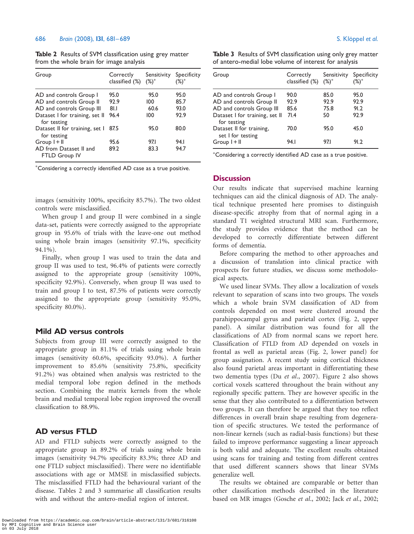Table 2 Results of SVM classification using grey matter from the whole brain for image analysis

| Group                                         | Correctly<br>classified (%) | Sensitivity<br>$(%)^*$ | Specificity<br>$(\%)^*$ |
|-----------------------------------------------|-----------------------------|------------------------|-------------------------|
| AD and controls Group I                       | 95.0                        | 95.0                   | 95.0                    |
| AD and controls Group II                      | 92.9                        | 100                    | 85.7                    |
| AD and controls Group III                     | 81.1                        | 60.6                   | 93.0                    |
| Dataset I for training, set II<br>for testing | 96.4                        | 100                    | 92.9                    |
| Dataset II for training, set I<br>for testing | 87.5                        | 95.0                   | 80.0                    |
| $Group I + II$                                | 95.6                        | 97.I                   | 94.I                    |
| AD from Dataset II and<br>FTLD Group IV       | 89.2                        | 83.3                   | 94.7                    |

Considering a correctly identified AD case as a true positive.

images (sensitivity 100%, specificity 85.7%). The two oldest controls were misclassified.

When group I and group II were combined in a single data-set, patients were correctly assigned to the appropriate group in 95.6% of trials with the leave-one out method using whole brain images (sensitivity 97.1%, specificity 94.1%).

Finally, when group I was used to train the data and group II was used to test, 96.4% of patients were correctly assigned to the appropriate group (sensitivity 100%, specificity 92.9%). Conversely, when group II was used to train and group I to test, 87.5% of patients were correctly assigned to the appropriate group (sensitivity 95.0%, specificity 80.0%).

# Mild AD versus controls

Subjects from group III were correctly assigned to the appropriate group in 81.1% of trials using whole brain images (sensitivity 60.6%, specificity 93.0%). A further improvement to 85.6% (sensitivity 75.8%, specificity 91.2%) was obtained when analysis was restricted to the medial temporal lobe region defined in the methods section. Combining the matrix kernels from the whole brain and medial temporal lobe region improved the overall classification to 88.9%.

# AD versus FTLD

AD and FTLD subjects were correctly assigned to the appropriate group in 89.2% of trials using whole brain images (sensitivity 94.7% specificity 83.3%; three AD and one FTLD subject misclassified). There were no identifiable associations with age or MMSE in misclassified subjects. The misclassified FTLD had the behavioural variant of the disease. Tables 2 and 3 summarise all classification results with and without the antero-medial region of interest.

| Table 3 Results of SVM classification using only grey matter |  |  |  |  |
|--------------------------------------------------------------|--|--|--|--|
| of antero-medial lobe volume of interest for analysis        |  |  |  |  |

| Group                                         | Correctly<br>classified (%) | Sensitivity<br>$(%)^*$ | Specificity<br>(%)* |
|-----------------------------------------------|-----------------------------|------------------------|---------------------|
| AD and controls Group I                       | 90.0                        | 85.0                   | 95.0                |
| AD and controls Group II                      | 92.9                        | 92.9                   | 92.9                |
| AD and controls Group III                     | 85.6                        | 75.8                   | 91.2                |
| Dataset I for training, set II<br>for testing | 71.4                        | 50                     | 92.9                |
| Dataset II for training,<br>set I for testing | 70.0                        | 95.0                   | 45.0                |
| Group I + II                                  | 94.I                        | 97.I                   | 91.2                |

Considering a correctly identified AD case as a true positive.

# **Discussion**

Our results indicate that supervised machine learning techniques can aid the clinical diagnosis of AD. The analytical technique presented here promises to distinguish disease-specific atrophy from that of normal aging in a standard T1 weighted structural MRI scan. Furthermore, the study provides evidence that the method can be developed to correctly differentiate between different forms of dementia.

Before comparing the method to other approaches and a discussion of translation into clinical practice with prospects for future studies, we discuss some methodological aspects.

We used linear SVMs. They allow a localization of voxels relevant to separation of scans into two groups. The voxels which a whole brain SVM classification of AD from controls depended on most were clustered around the parahippocampal gyrus and parietal cortex (Fig. 2, upper panel). A similar distribution was found for all the classifications of AD from normal scans we report here. Classification of FTLD from AD depended on voxels in frontal as well as parietal areas (Fig. 2, lower panel) for group assignation. A recent study using cortical thickness also found parietal areas important in differentiating these two dementia types (Du et al., 2007). Figure 2 also shows cortical voxels scattered throughout the brain without any regionally specific pattern. They are however specific in the sense that they also contributed to a differentiation between two groups. It can therefore be argued that they too reflect differences in overall brain shape resulting from degeneration of specific structures. We tested the performance of non-linear kernels (such as radial-basis functions) but these failed to improve performance suggesting a linear approach is both valid and adequate. The excellent results obtained using scans for training and testing from different centres that used different scanners shows that linear SVMs generalize well.

The results we obtained are comparable or better than other classification methods described in the literature based on MR images (Gosche et al., 2002; Jack et al., 2002;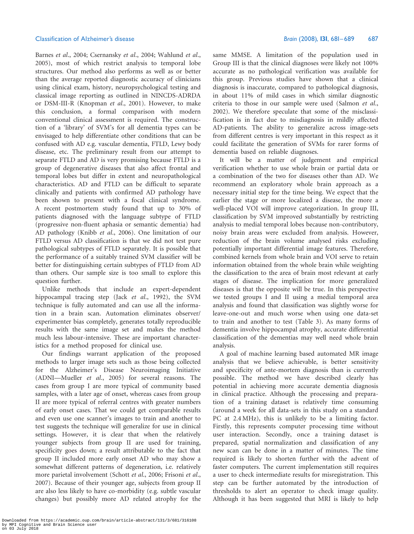#### Classification of Alzheimer's disease Brain (2008), 131, 681–689 687

Barnes et al., 2004; Csernansky et al., 2004; Wahlund et al., 2005), most of which restrict analysis to temporal lobe structures. Our method also performs as well as or better than the average reported diagnostic accuracy of clinicians using clinical exam, history, neuropsychological testing and classical image reporting as outlined in NINCDS-ADRDA or DSM-III-R (Knopman et al., 2001). However, to make this conclusion, a formal comparison with modern conventional clinical assessment is required. The construction of a 'library' of SVM's for all dementia types can be envisaged to help differentiate other conditions that can be confused with AD e.g. vascular dementia, FTLD, Lewy body disease, etc. The preliminary result from our attempt to separate FTLD and AD is very promising because FTLD is a group of degenerative diseases that also affect frontal and temporal lobes but differ in extent and neuropathological characteristics. AD and FTLD can be difficult to separate clinically and patients with confirmed AD pathology have been shown to present with a focal clinical syndrome. A recent postmortem study found that up to 30% of patients diagnosed with the language subtype of FTLD (progressive non-fluent aphasia or semantic dementia) had AD pathology (Knibb et al., 2006). One limitation of our FTLD versus AD classification is that we did not test pure pathological subtypes of FTLD separately. It is possible that the performance of a suitably trained SVM classifier will be better for distinguishing certain subtypes of FTLD from AD than others. Our sample size is too small to explore this question further.

Unlike methods that include an expert-dependent hippocampal tracing step (Jack et al., 1992), the SVM technique is fully automated and can use all the information in a brain scan. Automation eliminates observer/ experimenter bias completely, generates totally reproducible results with the same image set and makes the method much less labour-intensive. These are important characteristics for a method proposed for clinical use.

Our findings warrant application of the proposed methods to larger image sets such as those being collected for the Alzheimer's Disease Neuroimaging Initiative (ADNI—Mueller et al., 2005) for several reasons. The cases from group I are more typical of community based samples, with a later age of onset, whereas cases from group II are more typical of referral centres with greater numbers of early onset cases. That we could get comparable results and even use one scanner's images to train and another to test suggests the technique will generalize for use in clinical settings. However, it is clear that when the relatively younger subjects from group II are used for training, specificity goes down; a result attributable to the fact that group II included more early onset AD who may show a somewhat different patterns of degeneration, i.e. relatively more parietal involvement (Schott et al., 2006; Frisoni et al., 2007). Because of their younger age, subjects from group II are also less likely to have co-morbidity (e.g. subtle vascular changes) but possibly more AD related atrophy for the

same MMSE. A limitation of the population used in Group III is that the clinical diagnoses were likely not 100% accurate as no pathological verification was available for this group. Previous studies have shown that a clinical diagnosis is inaccurate, compared to pathological diagnosis, in about 11% of mild cases in which similar diagnostic criteria to those in our sample were used (Salmon et al., 2002). We therefore speculate that some of the misclassification is in fact due to misdiagnosis in mildly affected AD-patients. The ability to generalize across image-sets from different centres is very important in this respect as it could facilitate the generation of SVMs for rarer forms of dementia based on reliable diagnoses.

It will be a matter of judgement and empirical verification whether to use whole brain or partial data or a combination of the two for diseases other than AD. We recommend an exploratory whole brain approach as a necessary initial step for the time being. We expect that the earlier the stage or more localized a disease, the more a well-placed VOI will improve categorization. In group III, classification by SVM improved substantially by restricting analysis to medial temporal lobes because non-contributory, noisy brain areas were excluded from analysis. However, reduction of the brain volume analysed risks excluding potentially important differential image features. Therefore, combined kernels from whole brain and VOI serve to retain information obtained from the whole brain while weighting the classification to the area of brain most relevant at early stages of disease. The implication for more generalized diseases is that the opposite will be true. In this perspective we tested groups I and II using a medial temporal area analysis and found that classification was slightly worse for leave-one-out and much worse when using one data-set to train and another to test (Table 3). As many forms of dementia involve hippocampal atrophy, accurate differential classification of the dementias may well need whole brain analysis.

A goal of machine learning based automated MR image analysis that we believe achievable, is better sensitivity and specificity of ante-mortem diagnosis than is currently possible. The method we have described clearly has potential in achieving more accurate dementia diagnosis in clinical practice. Although the processing and preparation of a training dataset is relatively time consuming (around a week for all data-sets in this study on a standard PC at 2.4 MHz), this is unlikely to be a limiting factor. Firstly, this represents computer processing time without user interaction. Secondly, once a training dataset is prepared, spatial normalization and classification of any new scan can be done in a matter of minutes. The time required is likely to shorten further with the advent of faster computers. The current implementation still requires a user to check intermediate results for misregistration. This step can be further automated by the introduction of thresholds to alert an operator to check image quality. Although it has been suggested that MRI is likely to help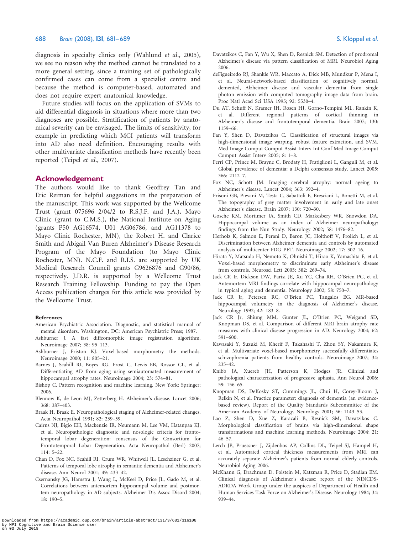diagnosis in specialty clinics only (Wahlund et al., 2005), we see no reason why the method cannot be translated to a more general setting, since a training set of pathologically confirmed cases can come from a specialist centre and because the method is computer-based, automated and does not require expert anatomical knowledge.

Future studies will focus on the application of SVMs to aid differential diagnosis in situations where more than two diagnoses are possible. Stratification of patients by anatomical severity can be envisaged. The limits of sensitivity, for example in predicting which MCI patients will transform into AD also need definition. Encouraging results with other multivariate classification methods have recently been reported (Teipel et al., 2007).

## Acknowledgement

The authors would like to thank Geoffrey Tan and Eric Reiman for helpful suggestions in the preparation of the manuscript. This work was supported by the Wellcome Trust (grant 075696 2/04/2 to R.S.J.F. and J.A.), Mayo Clinic (grant to C.M.S.), the National Institute on Aging (grants P50 AG16574, U01 AG06786, and AG11378 to Mayo Clinic Rochester, MN), the Robert H. and Clarice Smith and Abigail Van Buren Alzheimer's Disease Research Program of the Mayo Foundation (to Mayo Clinic Rochester, MN). N.C.F. and R.I.S. are supported by UK Medical Research Council grants G9626876 and G90/86, respectively. J.D.R. is supported by a Wellcome Trust Research Training Fellowship. Funding to pay the Open Access publication charges for this article was provided by the Wellcome Trust.

#### **References**

- American Psychiatric Association. Diagnostic, and statistical manual of mental disorders. Washington, DC: American Psychiatric Press; 1987.
- Ashburner J. A fast diffeomorphic image registration algorithm. Neuroimage 2007; 38: 95–113.
- Ashburner J, Friston KJ. Voxel-based morphometry—the methods. Neuroimage 2000; 11: 805–21.
- Barnes J, Scahill RI, Boyes RG, Frost C, Lewis EB, Rossor CL, et al. Differentiating AD from aging using semiautomated measurement of hippocampal atrophy rates. Neuroimage 2004; 23: 574–81.
- Bishop C. Pattern recognition and machine learning. New York: Springer; 2006.
- Blennow K, de Leon MJ, Zetterberg H. Alzheimer's disease. Lancet 2006; 368: 387–403.
- Braak H, Braak E. Neuropathological staging of Alzheimer-related changes. Acta Neuropathol 1991; 82: 239–59.
- Cairns NJ, Bigio EH, Mackenzie IR, Neumann M, Lee VM, Hatanpaa KJ, et al. Neuropathologic diagnostic and nosologic criteria for frontotemporal lobar degeneration: consensus of the Consortium for Frontotemporal Lobar Degeneration. Acta Neuropathol (Berl) 2007; 114: 5–22.
- Chan D, Fox NC, Scahill RI, Crum WR, Whitwell JL, Leschziner G, et al. Patterns of temporal lobe atrophy in semantic dementia and Alzheimer's disease. Ann Neurol 2001; 49: 433–42.
- Csernansky JG, Hamstra J, Wang L, McKeel D, Price JL, Gado M, et al. Correlations between antemortem hippocampal volume and postmortem neuropathology in AD subjects. Alzheimer Dis Assoc Disord 2004; 18: 190–5.
- Davatzikos C, Fan Y, Wu X, Shen D, Resnick SM. Detection of prodromal Alzheimer's disease via pattern classification of MRI. Neurobiol Aging 2006.
- deFigueiredo RJ, Shankle WR, Maccato A, Dick MB, Mundkur P, Mena I, et al. Neural-network-based classification of cognitively normal, demented, Alzheimer disease and vascular dementia from single photon emission with computed tomography image data from brain. Proc Natl Acad Sci USA 1995; 92: 5530–4.
- Du AT, Schuff N, Kramer JH, Rosen HJ, Gorno-Tempini ML, Rankin K, et al. Different regional patterns of cortical thinning in Alzheimer's disease and frontotemporal dementia. Brain 2007; 130: 1159–66.
- Fan Y, Shen D, Davatzikos C. Classification of structural images via high-dimensional image warping, robust feature extraction, and SVM. Med Image Comput Comput Assist Interv Int Conf Med Image Comput Comput Assist Interv 2005; 8: 1–8.
- Ferri CP, Prince M, Brayne C, Brodaty H, Fratiglioni L, Ganguli M, et al. Global prevalence of dementia: a Delphi consensus study. Lancet 2005; 366: 2112–7.
- Fox NC, Schott JM. Imaging cerebral atrophy: normal ageing to Alzheimer's disease. Lancet 2004; 363: 392–4.
- Frisoni GB, Pievani M, Testa C, Sabattoli F, Bresciani L, Bonetti M, et al. The topography of grey matter involvement in early and late onset Alzheimer's disease. Brain 2007; 130: 720–30.
- Gosche KM, Mortimer JA, Smith CD, Markesbery WR, Snowdon DA. Hippocampal volume as an index of Alzheimer neuropathology: findings from the Nun Study. Neurology 2002; 58: 1476–82.
- Herholz K, Salmon E, Perani D, Baron JC, Holthoff V, Frolich L, et al. Discrimination between Alzheimer dementia and controls by automated analysis of multicenter FDG PET. Neuroimage 2002; 17: 302–16.
- Hirata Y, Matsuda H, Nemoto K, Ohnishi T, Hirao K, Yamashita F, et al. Voxel-based morphometry to discriminate early Alzheimer's disease from controls. Neurosci Lett 2005; 382: 269–74.
- Jack CR Jr, Dickson DW, Parisi JE, Xu YC, Cha RH, O'Brien PC, et al. Antemortem MRI findings correlate with hippocampal neuropathology in typical aging and dementia. Neurology 2002; 58: 750–7.
- Jack CR Jr, Petersen RC, O'Brien PC, Tangalos EG. MR-based hippocampal volumetry in the diagnosis of Alzheimer's disease. Neurology 1992; 42: 183–8.
- Jack CR Jr, Shiung MM, Gunter JL, O'Brien PC, Weigand SD, Knopman DS, et al. Comparison of different MRI brain atrophy rate measures with clinical disease progression in AD. Neurology 2004; 62: 591–600.
- Kawasaki Y, Suzuki M, Kherif F, Takahashi T, Zhou SY, Nakamura K, et al. Multivariate voxel-based morphometry successfully differentiates schizophrenia patients from healthy controls. Neuroimage 2007; 34: 235–42.
- Knibb JA, Xuereb JH, Patterson K, Hodges JR. Clinical and pathological characterization of progressive aphasia. Ann Neurol 2006; 59: 156–65.
- Knopman DS, DeKosky ST, Cummings JL, Chui H, Corey-Bloom J, Relkin N, et al. Practice parameter: diagnosis of dementia (an evidencebased review). Report of the Quality Standards Subcommittee of the American Academy of Neurology. Neurology 2001; 56: 1143–53.
- Lao Z, Shen D, Xue Z, Karacali B, Resnick SM, Davatzikos C. Morphological classification of brains via high-dimensional shape transformations and machine learning methods. Neuroimage 2004; 21: 46–57.
- Lerch JP, Pruessner J, Zijdenbos AP, Collins DL, Teipel SJ, Hampel H, et al. Automated cortical thickness measurements from MRI can accurately separate Alzheimer's patients from normal elderly controls. Neurobiol Aging 2006.
- McKhann G, Drachman D, Folstein M, Katzman R, Price D, Stadlan EM. Clinical diagnosis of Alzheimer's disease: report of the NINCDS-ADRDA Work Group under the auspices of Department of Health and Human Services Task Force on Alzheimer's Disease. Neurology 1984; 34: 939–44.